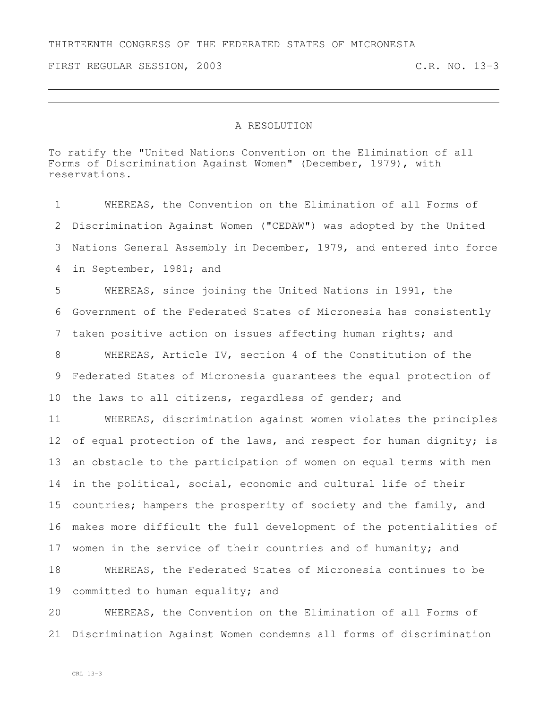FIRST REGULAR SESSION, 2003 C.R. NO. 13-3

## A RESOLUTION

To ratify the "United Nations Convention on the Elimination of all Forms of Discrimination Against Women" (December, 1979), with reservations.

 WHEREAS, the Convention on the Elimination of all Forms of Discrimination Against Women ("CEDAW") was adopted by the United Nations General Assembly in December, 1979, and entered into force in September, 1981; and WHEREAS, since joining the United Nations in 1991, the Government of the Federated States of Micronesia has consistently taken positive action on issues affecting human rights; and WHEREAS, Article IV, section 4 of the Constitution of the Federated States of Micronesia guarantees the equal protection of the laws to all citizens, regardless of gender; and WHEREAS, discrimination against women violates the principles 12 of equal protection of the laws, and respect for human dignity; is an obstacle to the participation of women on equal terms with men in the political, social, economic and cultural life of their countries; hampers the prosperity of society and the family, and makes more difficult the full development of the potentialities of 17 women in the service of their countries and of humanity; and WHEREAS, the Federated States of Micronesia continues to be 19 committed to human equality; and

 WHEREAS, the Convention on the Elimination of all Forms of Discrimination Against Women condemns all forms of discrimination

CRL 13-3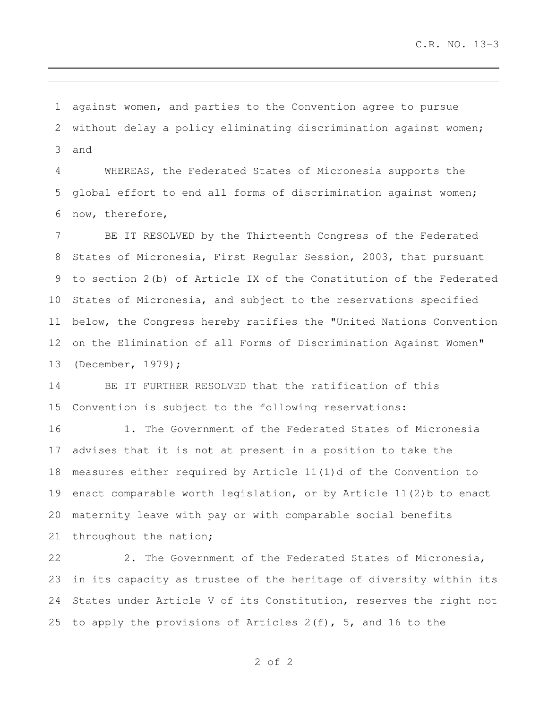against women, and parties to the Convention agree to pursue without delay a policy eliminating discrimination against women; and

 WHEREAS, the Federated States of Micronesia supports the global effort to end all forms of discrimination against women; now, therefore,

 BE IT RESOLVED by the Thirteenth Congress of the Federated States of Micronesia, First Regular Session, 2003, that pursuant to section 2(b) of Article IX of the Constitution of the Federated States of Micronesia, and subject to the reservations specified below, the Congress hereby ratifies the "United Nations Convention on the Elimination of all Forms of Discrimination Against Women" (December, 1979);

 BE IT FURTHER RESOLVED that the ratification of this Convention is subject to the following reservations:

 1. The Government of the Federated States of Micronesia advises that it is not at present in a position to take the measures either required by Article 11(1)d of the Convention to enact comparable worth legislation, or by Article 11(2)b to enact maternity leave with pay or with comparable social benefits throughout the nation;

 2. The Government of the Federated States of Micronesia, in its capacity as trustee of the heritage of diversity within its States under Article V of its Constitution, reserves the right not to apply the provisions of Articles 2(f), 5, and 16 to the

of 2